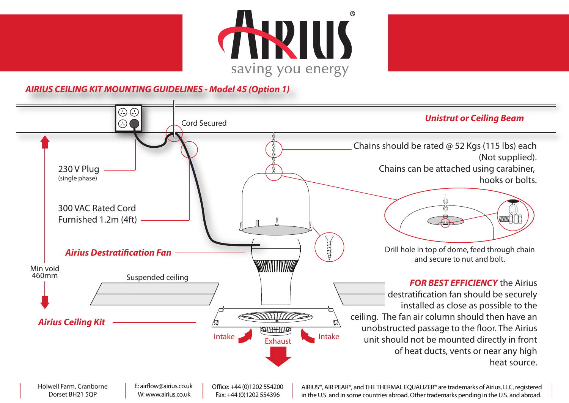



**AIRIUS CEILING KIT MOUNTING GUIDELINES - Model 45 (Option 1)**



E: airflow@airius.co.uk W: www.airius.co.uk Dorset BH21 5QP

Office: +44 (0)1202 554200 Fax: +44 (0)1202 554396

AIRIUS®, AIR PEAR®, and THE THERMAL EQUALIZER® are trademarks of Airius, LLC, registered in the U.S. and in some countries abroad. Other trademarks pending in the U.S. and abroad.